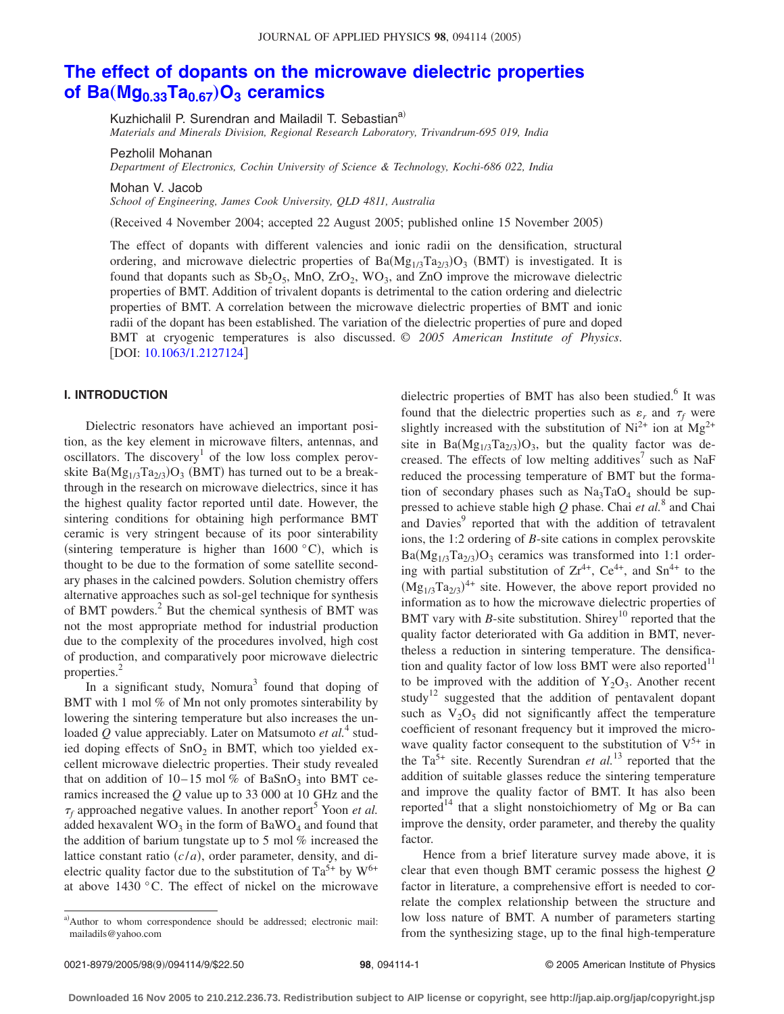# **[The effect of dopants on the microwave dielectric properties](http://dx.doi.org/10.1063/1.2127124) of Ba**( $Mg_{0.33}Ta_{0.67}$ ) $O_3$  **ceramics**

Kuzhichalil P. Surendran and Mailadil T. Sebastian<sup>a)</sup>

*Materials and Minerals Division, Regional Research Laboratory, Trivandrum-695 019, India*

Pezholil Mohanan

*Department of Electronics, Cochin University of Science & Technology, Kochi-686 022, India*

Mohan V. Jacob

*School of Engineering, James Cook University, QLD 4811, Australia*

(Received 4 November 2004; accepted 22 August 2005; published online 15 November 2005)

The effect of dopants with different valencies and ionic radii on the densification, structural ordering, and microwave dielectric properties of  $Ba(Mg_{1/3}Ta_{2/3})O_3$  (BMT) is investigated. It is found that dopants such as  $Sb<sub>2</sub>O<sub>5</sub>$ , MnO, ZrO<sub>2</sub>, WO<sub>3</sub>, and ZnO improve the microwave dielectric properties of BMT. Addition of trivalent dopants is detrimental to the cation ordering and dielectric properties of BMT. A correlation between the microwave dielectric properties of BMT and ionic radii of the dopant has been established. The variation of the dielectric properties of pure and doped BMT at cryogenic temperatures is also discussed. © *2005 American Institute of Physics*. DOI: [10.1063/1.2127124](http://dx.doi.org/10.1063/1.2127124)

# **I. INTRODUCTION**

Dielectric resonators have achieved an important position, as the key element in microwave filters, antennas, and oscillators. The discovery<sup>1</sup> of the low loss complex perovskite  $Ba(Mg_{1/3}Ta_{2/3})O_3$  (BMT) has turned out to be a breakthrough in the research on microwave dielectrics, since it has the highest quality factor reported until date. However, the sintering conditions for obtaining high performance BMT ceramic is very stringent because of its poor sinterability (sintering temperature is higher than  $1600 °C$ ), which is thought to be due to the formation of some satellite secondary phases in the calcined powders. Solution chemistry offers alternative approaches such as sol-gel technique for synthesis of BMT powders.<sup>2</sup> But the chemical synthesis of BMT was not the most appropriate method for industrial production due to the complexity of the procedures involved, high cost of production, and comparatively poor microwave dielectric properties.<sup>2</sup>

In a significant study, Nomura<sup>3</sup> found that doping of BMT with 1 mol % of Mn not only promotes sinterability by lowering the sintering temperature but also increases the unloaded *Q* value appreciably. Later on Matsumoto *et al.*<sup>4</sup> studied doping effects of  $SnO<sub>2</sub>$  in BMT, which too yielded excellent microwave dielectric properties. Their study revealed that on addition of  $10-15$  mol % of BaSnO<sub>3</sub> into BMT ceramics increased the *Q* value up to 33 000 at 10 GHz and the  $\tau_f$  approached negative values. In another report<sup>3</sup> Yoon *et al.* added hexavalent  $WO_3$  in the form of BaWO<sub>4</sub> and found that the addition of barium tungstate up to 5 mol % increased the lattice constant ratio  $(c/a)$ , order parameter, density, and dielectric quality factor due to the substitution of  $Ta^{5+}$  by  $W^{6+}$ at above 1430 °C. The effect of nickel on the microwave dielectric properties of BMT has also been studied.<sup>6</sup> It was found that the dielectric properties such as  $\varepsilon_r$  and  $\tau_f$  were slightly increased with the substitution of  $Ni^{2+}$  ion at  $Mg^{2+}$ site in  $Ba(Mg_{1/3}Ta_{2/3})O_3$ , but the quality factor was decreased. The effects of low melting additives<sup>7</sup> such as NaF reduced the processing temperature of BMT but the formation of secondary phases such as  $Na<sub>3</sub>TaO<sub>4</sub>$  should be suppressed to achieve stable high *Q* phase. Chai *et al.*<sup>8</sup> and Chai and Davies<sup>9</sup> reported that with the addition of tetravalent ions, the 1:2 ordering of *B*-site cations in complex perovskite  $Ba(Mg_{1/3}Ta_{2/3})O_3$  ceramics was transformed into 1:1 ordering with partial substitution of  $Zr^{4+}$ ,  $Ce^{4+}$ , and  $Sn^{4+}$  to the  $(Mg_{1/3}Ta_{2/3})^{4+}$  site. However, the above report provided no information as to how the microwave dielectric properties of BMT vary with *B*-site substitution. Shirey<sup>10</sup> reported that the quality factor deteriorated with Ga addition in BMT, nevertheless a reduction in sintering temperature. The densification and quality factor of low loss BMT were also reported $11$ to be improved with the addition of  $Y_2O_3$ . Another recent study<sup>12</sup> suggested that the addition of pentavalent dopant such as  $V_2O_5$  did not significantly affect the temperature coefficient of resonant frequency but it improved the microwave quality factor consequent to the substitution of  $V^{5+}$  in the  $Ta^{5+}$  site. Recently Surendran *et al.*<sup>13</sup> reported that the addition of suitable glasses reduce the sintering temperature and improve the quality factor of BMT. It has also been reported<sup>14</sup> that a slight nonstoichiometry of Mg or Ba can improve the density, order parameter, and thereby the quality factor.

Hence from a brief literature survey made above, it is clear that even though BMT ceramic possess the highest *Q* factor in literature, a comprehensive effort is needed to correlate the complex relationship between the structure and low loss nature of BMT. A number of parameters starting from the synthesizing stage, up to the final high-temperature

a)Author to whom correspondence should be addressed; electronic mail: mailadils@yahoo.com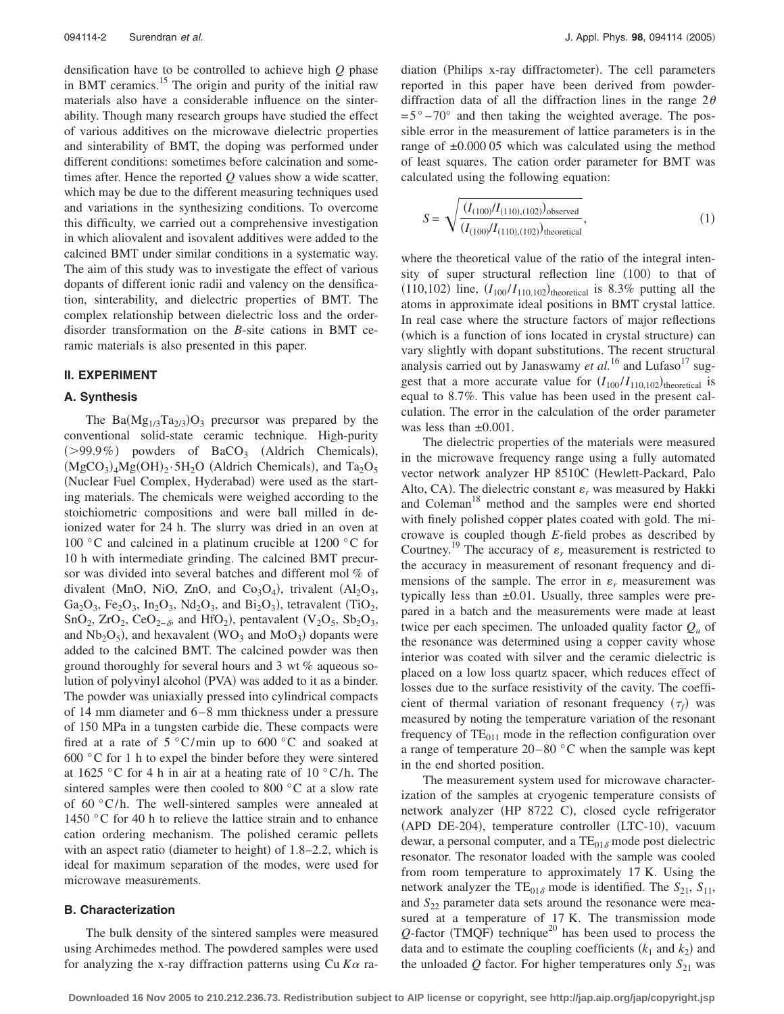densification have to be controlled to achieve high *Q* phase in BMT ceramics.<sup>15</sup> The origin and purity of the initial raw materials also have a considerable influence on the sinterability. Though many research groups have studied the effect of various additives on the microwave dielectric properties and sinterability of BMT, the doping was performed under different conditions: sometimes before calcination and sometimes after. Hence the reported *Q* values show a wide scatter, which may be due to the different measuring techniques used and variations in the synthesizing conditions. To overcome this difficulty, we carried out a comprehensive investigation in which aliovalent and isovalent additives were added to the calcined BMT under similar conditions in a systematic way. The aim of this study was to investigate the effect of various dopants of different ionic radii and valency on the densification, sinterability, and dielectric properties of BMT. The complex relationship between dielectric loss and the orderdisorder transformation on the *B*-site cations in BMT ceramic materials is also presented in this paper.

## **II. EXPERIMENT**

## **A. Synthesis**

The  $Ba(Mg_{1/3}Ta_{2/3})O_3$  precursor was prepared by the conventional solid-state ceramic technique. High-purity  $(>\!\!99.9\%)$  powders of BaCO<sub>3</sub> (Aldrich Chemicals),  $(MgCO<sub>3</sub>)<sub>4</sub>Mg(OH)<sub>2</sub>·5H<sub>2</sub>O$  (Aldrich Chemicals), and Ta<sub>2</sub>O<sub>5</sub> (Nuclear Fuel Complex, Hyderabad) were used as the starting materials. The chemicals were weighed according to the stoichiometric compositions and were ball milled in deionized water for 24 h. The slurry was dried in an oven at 100  $\degree$ C and calcined in a platinum crucible at 1200  $\degree$ C for 10 h with intermediate grinding. The calcined BMT precursor was divided into several batches and different mol % of divalent (MnO, NiO, ZnO, and  $Co<sub>3</sub>O<sub>4</sub>$ ), trivalent (Al<sub>2</sub>O<sub>3</sub>, Ga<sub>2</sub>O<sub>3</sub>, Fe<sub>2</sub>O<sub>3</sub>, In<sub>2</sub>O<sub>3</sub>, Nd<sub>2</sub>O<sub>3</sub>, and Bi<sub>2</sub>O<sub>3</sub>), tetravalent (TiO<sub>2</sub>, SnO<sub>2</sub>, ZrO<sub>2</sub>, CeO<sub>2− $\delta$ </sub>, and HfO<sub>2</sub>), pentavalent (V<sub>2</sub>O<sub>5</sub>, Sb<sub>2</sub>O<sub>3</sub>, and  $Nb<sub>2</sub>O<sub>5</sub>$ ), and hexavalent (WO<sub>3</sub> and MoO<sub>3</sub>) dopants were added to the calcined BMT. The calcined powder was then ground thoroughly for several hours and 3 wt % aqueous solution of polyvinyl alcohol (PVA) was added to it as a binder. The powder was uniaxially pressed into cylindrical compacts of 14 mm diameter and 6 – 8 mm thickness under a pressure of 150 MPa in a tungsten carbide die. These compacts were fired at a rate of  $5^{\circ}$ C/min up to  $600^{\circ}$ C and soaked at 600 °C for 1 h to expel the binder before they were sintered at  $1625 \degree$ C for 4 h in air at a heating rate of  $10 \degree$ C/h. The sintered samples were then cooled to 800 °C at a slow rate of  $60 °C/h$ . The well-sintered samples were annealed at 1450 °C for 40 h to relieve the lattice strain and to enhance cation ordering mechanism. The polished ceramic pellets with an aspect ratio (diameter to height) of 1.8–2.2, which is ideal for maximum separation of the modes, were used for microwave measurements.

# **B. Characterization**

The bulk density of the sintered samples were measured using Archimedes method. The powdered samples were used for analyzing the x-ray diffraction patterns using  $Cu$   $Ka$  ra-

diation (Philips x-ray diffractometer). The cell parameters reported in this paper have been derived from powderdiffraction data of all the diffraction lines in the range  $2\theta$  $= 5^{\circ} - 70^{\circ}$  and then taking the weighted average. The possible error in the measurement of lattice parameters is in the range of  $\pm 0.000$  05 which was calculated using the method of least squares. The cation order parameter for BMT was calculated using the following equation:

$$
S = \sqrt{\frac{(I_{(100)}/I_{(110),(102)})_{\text{observed}}}{(I_{(100)}/I_{(110),(102)})_{\text{theoretical}}}},\tag{1}
$$

where the theoretical value of the ratio of the integral intensity of super structural reflection line (100) to that of  $(110, 102)$  line,  $(I_{100}/I_{110, 102})$ <sub>theoretical</sub> is 8.3% putting all the atoms in approximate ideal positions in BMT crystal lattice. In real case where the structure factors of major reflections (which is a function of ions located in crystal structure) can vary slightly with dopant substitutions. The recent structural analysis carried out by Janaswamy  $et$   $al$ .<sup>16</sup> and Lufaso<sup>17</sup> suggest that a more accurate value for  $(I_{100}/I_{110,102})$ <sub>theoretical</sub> is equal to 8.7%. This value has been used in the present calculation. The error in the calculation of the order parameter was less than  $\pm 0.001$ .

The dielectric properties of the materials were measured in the microwave frequency range using a fully automated vector network analyzer HP 8510C Hewlett-Packard, Palo Alto, CA). The dielectric constant  $\varepsilon_r$  was measured by Hakki and Coleman<sup>18</sup> method and the samples were end shorted with finely polished copper plates coated with gold. The microwave is coupled though *E*-field probes as described by Courtney.<sup>19</sup> The accuracy of  $\varepsilon_r$  measurement is restricted to the accuracy in measurement of resonant frequency and dimensions of the sample. The error in  $\varepsilon_r$  measurement was typically less than  $\pm 0.01$ . Usually, three samples were prepared in a batch and the measurements were made at least twice per each specimen. The unloaded quality factor  $Q_u$  of the resonance was determined using a copper cavity whose interior was coated with silver and the ceramic dielectric is placed on a low loss quartz spacer, which reduces effect of losses due to the surface resistivity of the cavity. The coefficient of thermal variation of resonant frequency  $(\tau_f)$  was measured by noting the temperature variation of the resonant frequency of  $TE_{011}$  mode in the reflection configuration over a range of temperature  $20-80$  °C when the sample was kept in the end shorted position.

The measurement system used for microwave characterization of the samples at cryogenic temperature consists of network analyzer (HP 8722 C), closed cycle refrigerator (APD DE-204), temperature controller (LTC-10), vacuum dewar, a personal computer, and a  $TE_{01\delta}$  mode post dielectric resonator. The resonator loaded with the sample was cooled from room temperature to approximately 17 K. Using the network analyzer the TE<sub>01</sub> $_{\delta}$  mode is identified. The  $S_{21}$ ,  $S_{11}$ , and  $S_{22}$  parameter data sets around the resonance were measured at a temperature of 17 K. The transmission mode  $Q$ -factor (TMQF) technique<sup>20</sup> has been used to process the data and to estimate the coupling coefficients  $(k_1 \text{ and } k_2)$  and the unloaded  $Q$  factor. For higher temperatures only  $S_{21}$  was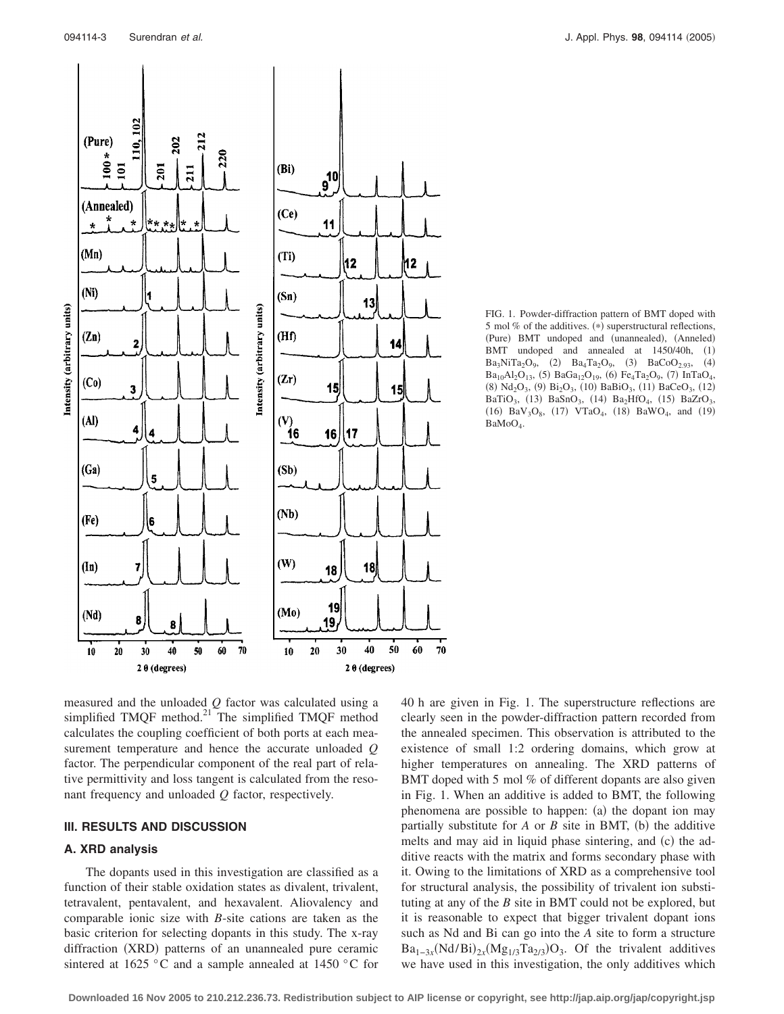

FIG. 1. Powder-diffraction pattern of BMT doped with 5 mol  $%$  of the additives. (\*) superstructural reflections, (Pure) BMT undoped and (unannealed), (Anneled) BMT undoped and annealed at 1450/40h, (1)  $Ba_3NiTa_2O_9$ , (2)  $Ba_4Ta_2O_9$ , (3)  $BaCoO_{2.93}$ , (4)  $Ba_{10}Al_2O_{13}$ , (5)  $BaGa_{12}O_{19}$ , (6)  $Fe_4Ta_2O_9$ , (7)  $InTaO_4$ ,  $(8)$  Nd<sub>2</sub>O<sub>3</sub>,  $(9)$  Bi<sub>2</sub>O<sub>3</sub>,  $(10)$  BaBiO<sub>3</sub>,  $(11)$  BaCeO<sub>3</sub>,  $(12)$ BaTiO<sub>3</sub>, (13) BaSnO<sub>3</sub>, (14) Ba<sub>2</sub>HfO<sub>4</sub>, (15) BaZrO<sub>3</sub>, (16)  $BaV<sub>3</sub>O<sub>8</sub>$ , (17)  $VTaO<sub>4</sub>$ , (18)  $BaWO<sub>4</sub>$ , and (19) BaMoO<sub>4</sub>.

measured and the unloaded *Q* factor was calculated using a simplified TMQF method.<sup>21</sup> The simplified TMQF method calculates the coupling coefficient of both ports at each measurement temperature and hence the accurate unloaded *Q* factor. The perpendicular component of the real part of relative permittivity and loss tangent is calculated from the resonant frequency and unloaded *Q* factor, respectively.

# **III. RESULTS AND DISCUSSION**

# **A. XRD analysis**

The dopants used in this investigation are classified as a function of their stable oxidation states as divalent, trivalent, tetravalent, pentavalent, and hexavalent. Aliovalency and comparable ionic size with *B*-site cations are taken as the basic criterion for selecting dopants in this study. The x-ray diffraction (XRD) patterns of an unannealed pure ceramic sintered at 1625 °C and a sample annealed at 1450 °C for 40 h are given in Fig. 1. The superstructure reflections are clearly seen in the powder-diffraction pattern recorded from the annealed specimen. This observation is attributed to the existence of small 1:2 ordering domains, which grow at higher temperatures on annealing. The XRD patterns of BMT doped with 5 mol % of different dopants are also given in Fig. 1. When an additive is added to BMT, the following phenomena are possible to happen: (a) the dopant ion may partially substitute for  $A$  or  $B$  site in BMT, (b) the additive melts and may aid in liquid phase sintering, and (c) the additive reacts with the matrix and forms secondary phase with it. Owing to the limitations of XRD as a comprehensive tool for structural analysis, the possibility of trivalent ion substituting at any of the *B* site in BMT could not be explored, but it is reasonable to expect that bigger trivalent dopant ions such as Nd and Bi can go into the *A* site to form a structure  $Ba_{1-3x}(Nd/Bi)_{2x}(Mg_{1/3}Ta_{2/3})O_3$ . Of the trivalent additives we have used in this investigation, the only additives which

**Downloaded 16 Nov 2005 to 210.212.236.73. Redistribution subject to AIP license or copyright, see http://jap.aip.org/jap/copyright.jsp**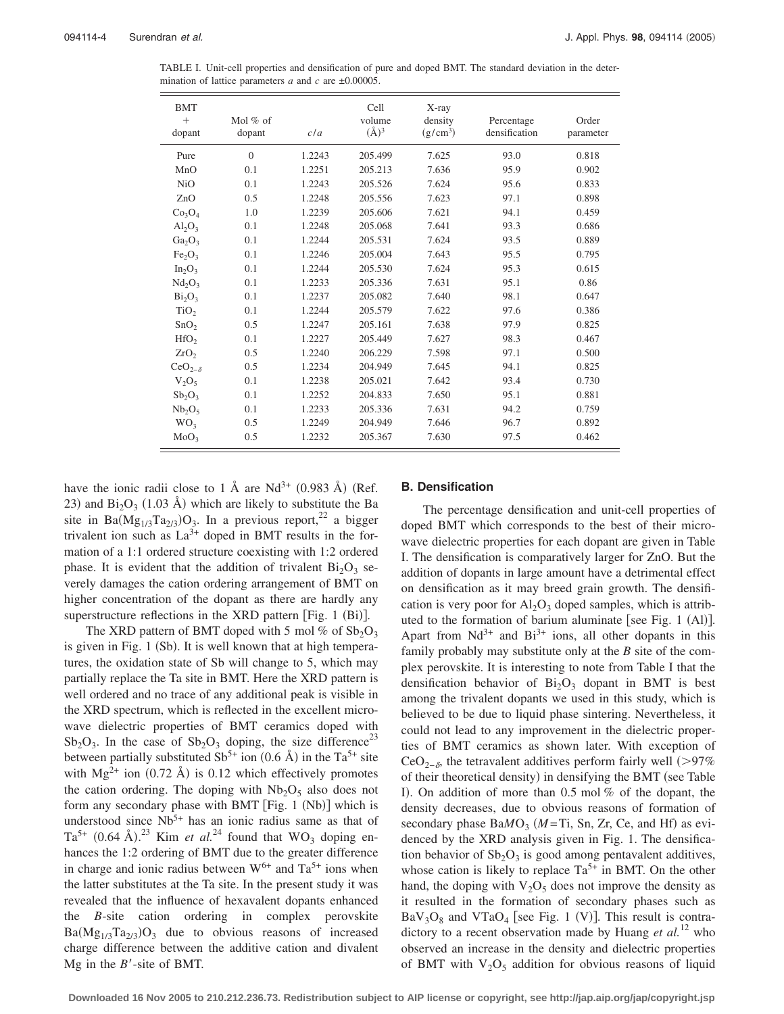TABLE I. Unit-cell properties and densification of pure and doped BMT. The standard deviation in the determination of lattice parameters  $a$  and  $c$  are  $\pm 0.00005$ .

| <b>BMT</b><br>$+$<br>dopant    | Mol $%$ of<br>dopant | c/a    | Cell<br>volume<br>$(\AA)^3$ | X-ray<br>density<br>$(g/cm^3)$ | Percentage<br>densification | Order<br>parameter |
|--------------------------------|----------------------|--------|-----------------------------|--------------------------------|-----------------------------|--------------------|
| Pure                           | $\theta$             | 1.2243 | 205.499                     | 7.625                          | 93.0                        | 0.818              |
| MnO                            | 0.1                  | 1.2251 | 205.213                     | 7.636                          | 95.9                        | 0.902              |
| N <sub>i</sub> O               | 0.1                  | 1.2243 | 205.526                     | 7.624                          | 95.6                        | 0.833              |
| ZnO                            | 0.5                  | 1.2248 | 205.556                     | 7.623                          | 97.1                        | 0.898              |
| Co <sub>3</sub> O <sub>4</sub> | 1.0                  | 1.2239 | 205.606                     | 7.621                          | 94.1                        | 0.459              |
| $Al_2O_3$                      | 0.1                  | 1.2248 | 205.068                     | 7.641                          | 93.3                        | 0.686              |
| Ga <sub>2</sub> O <sub>3</sub> | 0.1                  | 1.2244 | 205.531                     | 7.624                          | 93.5                        | 0.889              |
| Fe <sub>2</sub> O <sub>3</sub> | 0.1                  | 1.2246 | 205.004                     | 7.643                          | 95.5                        | 0.795              |
| $In_2O_3$                      | 0.1                  | 1.2244 | 205.530                     | 7.624                          | 95.3                        | 0.615              |
| Nd <sub>2</sub> O <sub>3</sub> | 0.1                  | 1.2233 | 205.336                     | 7.631                          | 95.1                        | 0.86               |
| Bi <sub>2</sub> O <sub>3</sub> | 0.1                  | 1.2237 | 205.082                     | 7.640                          | 98.1                        | 0.647              |
| TiO <sub>2</sub>               | 0.1                  | 1.2244 | 205.579                     | 7.622                          | 97.6                        | 0.386              |
| SnO <sub>2</sub>               | 0.5                  | 1.2247 | 205.161                     | 7.638                          | 97.9                        | 0.825              |
| HfO <sub>2</sub>               | 0.1                  | 1.2227 | 205.449                     | 7.627                          | 98.3                        | 0.467              |
| ZrO <sub>2</sub>               | 0.5                  | 1.2240 | 206.229                     | 7.598                          | 97.1                        | 0.500              |
| $CeO_{2-\delta}$               | 0.5                  | 1.2234 | 204.949                     | 7.645                          | 94.1                        | 0.825              |
| $V_2O_5$                       | 0.1                  | 1.2238 | 205.021                     | 7.642                          | 93.4                        | 0.730              |
| $Sb_2O_3$                      | 0.1                  | 1.2252 | 204.833                     | 7.650                          | 95.1                        | 0.881              |
| $Nb_2O_5$                      | 0.1                  | 1.2233 | 205.336                     | 7.631                          | 94.2                        | 0.759              |
| WO <sub>3</sub>                | 0.5                  | 1.2249 | 204.949                     | 7.646                          | 96.7                        | 0.892              |
| MoO <sub>3</sub>               | 0.5                  | 1.2232 | 205.367                     | 7.630                          | 97.5                        | 0.462              |

have the ionic radii close to 1 Å are  $Nd^{3+}$  (0.983 Å) (Ref. 23) and  $Bi<sub>2</sub>O<sub>3</sub>$  (1.03 Å) which are likely to substitute the Ba site in Ba $(Mg_{1/3}Ta_{2/3})O_3$ . In a previous report,<sup>22</sup> a bigger trivalent ion such as  $La^{3+}$  doped in BMT results in the formation of a 1:1 ordered structure coexisting with 1:2 ordered phase. It is evident that the addition of trivalent  $Bi<sub>2</sub>O<sub>3</sub>$  severely damages the cation ordering arrangement of BMT on higher concentration of the dopant as there are hardly any superstructure reflections in the XRD pattern [Fig. 1 (Bi)].

The XRD pattern of BMT doped with 5 mol % of  $Sb_2O_3$ is given in Fig. 1 (Sb). It is well known that at high temperatures, the oxidation state of Sb will change to 5, which may partially replace the Ta site in BMT. Here the XRD pattern is well ordered and no trace of any additional peak is visible in the XRD spectrum, which is reflected in the excellent microwave dielectric properties of BMT ceramics doped with  $Sb_2O_3$ . In the case of  $Sb_2O_3$  doping, the size difference<sup>23</sup> between partially substituted  $Sb^{5+}$  ion (0.6 Å) in the Ta<sup>5+</sup> site with  $Mg^{2+}$  ion (0.72 Å) is 0.12 which effectively promotes the cation ordering. The doping with  $Nb<sub>2</sub>O<sub>5</sub>$  also does not form any secondary phase with BMT [Fig. 1 (Nb)] which is understood since  $Nb^{5+}$  has an ionic radius same as that of  $Ta^{5+}$  (0.64 Å).<sup>23</sup> Kim *et al.*<sup>24</sup> found that WO<sub>3</sub> doping enhances the 1:2 ordering of BMT due to the greater difference in charge and ionic radius between  $W^{6+}$  and  $Ta^{5+}$  ions when the latter substitutes at the Ta site. In the present study it was revealed that the influence of hexavalent dopants enhanced the *B*-site cation ordering in complex perovskite  $Ba(Mg_{1/3}Ta_{2/3})O_3$  due to obvious reasons of increased charge difference between the additive cation and divalent Mg in the *B*-site of BMT.

## **B. Densification**

The percentage densification and unit-cell properties of doped BMT which corresponds to the best of their microwave dielectric properties for each dopant are given in Table I. The densification is comparatively larger for ZnO. But the addition of dopants in large amount have a detrimental effect on densification as it may breed grain growth. The densification is very poor for  $\text{Al}_2\text{O}_3$  doped samples, which is attributed to the formation of barium aluminate [see Fig. 1  $(AI)$ ]. Apart from  $Nd^{3+}$  and  $Bi^{3+}$  ions, all other dopants in this family probably may substitute only at the *B* site of the complex perovskite. It is interesting to note from Table I that the densification behavior of  $Bi<sub>2</sub>O<sub>3</sub>$  dopant in BMT is best among the trivalent dopants we used in this study, which is believed to be due to liquid phase sintering. Nevertheless, it could not lead to any improvement in the dielectric properties of BMT ceramics as shown later. With exception of CeO<sub>2− $\delta$ </sub>, the tetravalent additives perform fairly well (>97%) of their theoretical density) in densifying the BMT (see Table I). On addition of more than 0.5 mol % of the dopant, the density decreases, due to obvious reasons of formation of secondary phase BaMO<sub>3</sub> (M=Ti, Sn, Zr, Ce, and Hf) as evidenced by the XRD analysis given in Fig. 1. The densification behavior of  $Sb_2O_3$  is good among pentavalent additives, whose cation is likely to replace  $Ta^{5+}$  in BMT. On the other hand, the doping with  $V_2O_5$  does not improve the density as it resulted in the formation of secondary phases such as  $BaV<sub>3</sub>O<sub>8</sub>$  and VTaO<sub>4</sub> [see Fig. 1 (V)]. This result is contradictory to a recent observation made by Huang *et al.*<sup>12</sup> who observed an increase in the density and dielectric properties of BMT with  $V_2O_5$  addition for obvious reasons of liquid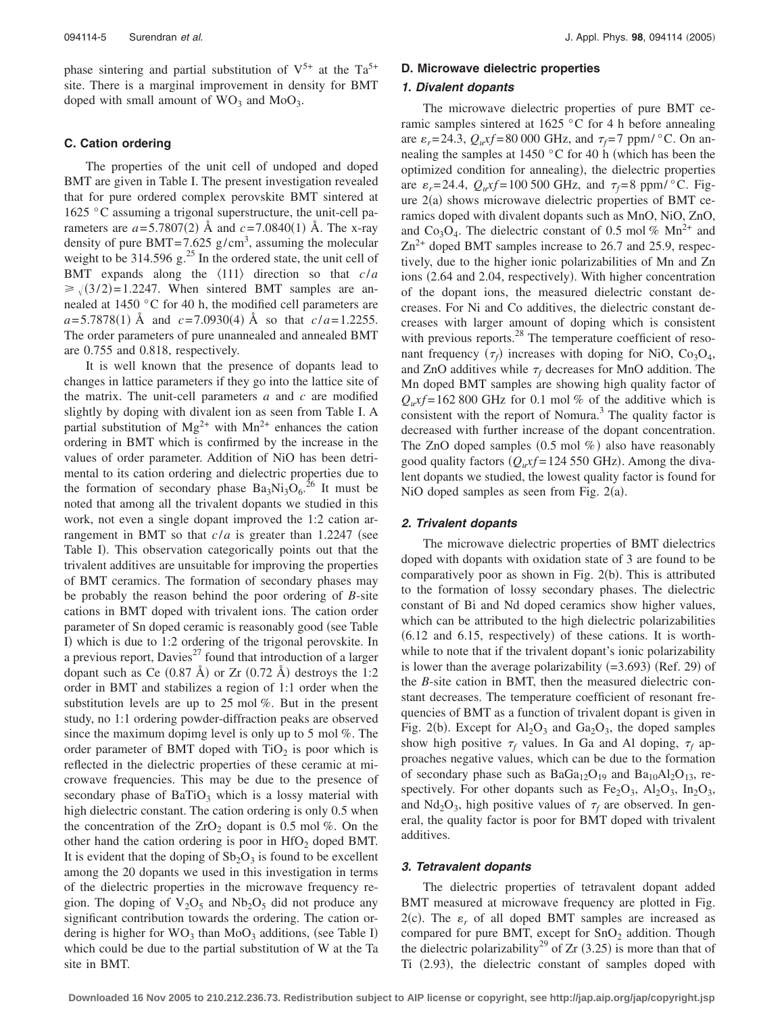phase sintering and partial substitution of  $V^{5+}$  at the Ta<sup>5+</sup> site. There is a marginal improvement in density for BMT doped with small amount of  $WO_3$  and  $MoO_3$ .

#### **C. Cation ordering**

The properties of the unit cell of undoped and doped BMT are given in Table I. The present investigation revealed that for pure ordered complex perovskite BMT sintered at 1625 °C assuming a trigonal superstructure, the unit-cell parameters are  $a = 5.7807(2)$  Å and  $c = 7.0840(1)$  Å. The x-ray density of pure BMT=7.625  $g/cm<sup>3</sup>$ , assuming the molecular weight to be  $314.596$  g.<sup>25</sup> In the ordered state, the unit cell of BMT expands along the  $\langle 111 \rangle$  direction so that  $c/a$  $\geq \sqrt{(3/2)} = 1.2247$ . When sintered BMT samples are annealed at 1450 °C for 40 h, the modified cell parameters are  $a = 5.7878(1)$  Å and  $c = 7.0930(4)$  Å so that  $c/a = 1.2255$ . The order parameters of pure unannealed and annealed BMT are 0.755 and 0.818, respectively.

It is well known that the presence of dopants lead to changes in lattice parameters if they go into the lattice site of the matrix. The unit-cell parameters *a* and *c* are modified slightly by doping with divalent ion as seen from Table I. A partial substitution of  $Mg^{2+}$  with  $Mn^{2+}$  enhances the cation ordering in BMT which is confirmed by the increase in the values of order parameter. Addition of NiO has been detrimental to its cation ordering and dielectric properties due to the formation of secondary phase  $Ba_3Ni_3O_6$ .<sup>26</sup> It must be noted that among all the trivalent dopants we studied in this work, not even a single dopant improved the 1:2 cation arrangement in BMT so that  $c/a$  is greater than 1.2247 (see Table I). This observation categorically points out that the trivalent additives are unsuitable for improving the properties of BMT ceramics. The formation of secondary phases may be probably the reason behind the poor ordering of *B*-site cations in BMT doped with trivalent ions. The cation order parameter of Sn doped ceramic is reasonably good (see Table I) which is due to 1:2 ordering of the trigonal perovskite. In a previous report,  $Davies^{27}$  found that introduction of a larger dopant such as Ce  $(0.87 \text{ Å})$  or Zr  $(0.72 \text{ Å})$  destroys the 1:2 order in BMT and stabilizes a region of 1:1 order when the substitution levels are up to 25 mol %. But in the present study, no 1:1 ordering powder-diffraction peaks are observed since the maximum dopimg level is only up to 5 mol %. The order parameter of BMT doped with  $TiO<sub>2</sub>$  is poor which is reflected in the dielectric properties of these ceramic at microwave frequencies. This may be due to the presence of secondary phase of  $BaTiO<sub>3</sub>$  which is a lossy material with high dielectric constant. The cation ordering is only 0.5 when the concentration of the  $ZrO<sub>2</sub>$  dopant is 0.5 mol %. On the other hand the cation ordering is poor in  $HfO<sub>2</sub>$  doped BMT. It is evident that the doping of  $Sb<sub>2</sub>O<sub>3</sub>$  is found to be excellent among the 20 dopants we used in this investigation in terms of the dielectric properties in the microwave frequency region. The doping of  $V_2O_5$  and  $Nb_2O_5$  did not produce any significant contribution towards the ordering. The cation ordering is higher for  $WO_3$  than  $MoO_3$  additions, (see Table I) which could be due to the partial substitution of W at the Ta site in BMT.

## **D. Microwave dielectric properties**

#### *1. Divalent dopants*

The microwave dielectric properties of pure BMT ceramic samples sintered at 1625 °C for 4 h before annealing are  $\varepsilon_r = 24.3$ ,  $Q_u$ xf = 80 000 GHz, and  $\tau_f = 7$  ppm/ $\degree$ C. On annealing the samples at 1450  $\degree$ C for 40 h (which has been the optimized condition for annealing), the dielectric properties are  $\varepsilon_r = 24.4$ ,  $Q_uxf = 100\,500$  GHz, and  $\tau_f = 8$  ppm/ $\degree$ C. Figure  $2(a)$  shows microwave dielectric properties of BMT ceramics doped with divalent dopants such as MnO, NiO, ZnO, and Co<sub>3</sub>O<sub>4</sub>. The dielectric constant of 0.5 mol %  $Mn^{2+}$  and  $Zn^{2+}$  doped BMT samples increase to 26.7 and 25.9, respectively, due to the higher ionic polarizabilities of Mn and Zn ions (2.64 and 2.04, respectively). With higher concentration of the dopant ions, the measured dielectric constant decreases. For Ni and Co additives, the dielectric constant decreases with larger amount of doping which is consistent with previous reports.<sup>28</sup> The temperature coefficient of resonant frequency  $(\tau_f)$  increases with doping for NiO, Co<sub>3</sub>O<sub>4</sub>, and ZnO additives while  $\tau_f$  decreases for MnO addition. The Mn doped BMT samples are showing high quality factor of  $Q_u$ xf = 162 800 GHz for 0.1 mol % of the additive which is consistent with the report of Nomura.<sup>3</sup> The quality factor is decreased with further increase of the dopant concentration. The ZnO doped samples  $(0.5 \text{ mol } \%)$  also have reasonably good quality factors  $(Q_u x f = 124\,550\, \text{GHz})$ . Among the divalent dopants we studied, the lowest quality factor is found for NiO doped samples as seen from Fig.  $2(a)$ .

## *2. Trivalent dopants*

The microwave dielectric properties of BMT dielectrics doped with dopants with oxidation state of 3 are found to be comparatively poor as shown in Fig. 2(b). This is attributed to the formation of lossy secondary phases. The dielectric constant of Bi and Nd doped ceramics show higher values, which can be attributed to the high dielectric polarizabilities  $(6.12 \text{ and } 6.15,$  respectively) of these cations. It is worthwhile to note that if the trivalent dopant's ionic polarizability is lower than the average polarizability  $(=3.693)$  (Ref. 29) of the *B*-site cation in BMT, then the measured dielectric constant decreases. The temperature coefficient of resonant frequencies of BMT as a function of trivalent dopant is given in Fig. 2(b). Except for  $Al_2O_3$  and  $Ga_2O_3$ , the doped samples show high positive  $\tau_f$  values. In Ga and Al doping,  $\tau_f$  approaches negative values, which can be due to the formation of secondary phase such as  $BaGa_{12}O_{19}$  and  $Ba_{10}Al_2O_{13}$ , respectively. For other dopants such as  $Fe<sub>2</sub>O<sub>3</sub>$ ,  $Al<sub>2</sub>O<sub>3</sub>$ ,  $In<sub>2</sub>O<sub>3</sub>$ , and  $Nd<sub>2</sub>O<sub>3</sub>$ , high positive values of  $\tau_f$  are observed. In general, the quality factor is poor for BMT doped with trivalent additives.

## *3. Tetravalent dopants*

The dielectric properties of tetravalent dopant added BMT measured at microwave frequency are plotted in Fig.  $2(c)$ . The  $\varepsilon_r$  of all doped BMT samples are increased as compared for pure BMT, except for  $SnO<sub>2</sub>$  addition. Though the dielectric polarizability<sup>29</sup> of Zr  $(3.25)$  is more than that of Ti (2.93), the dielectric constant of samples doped with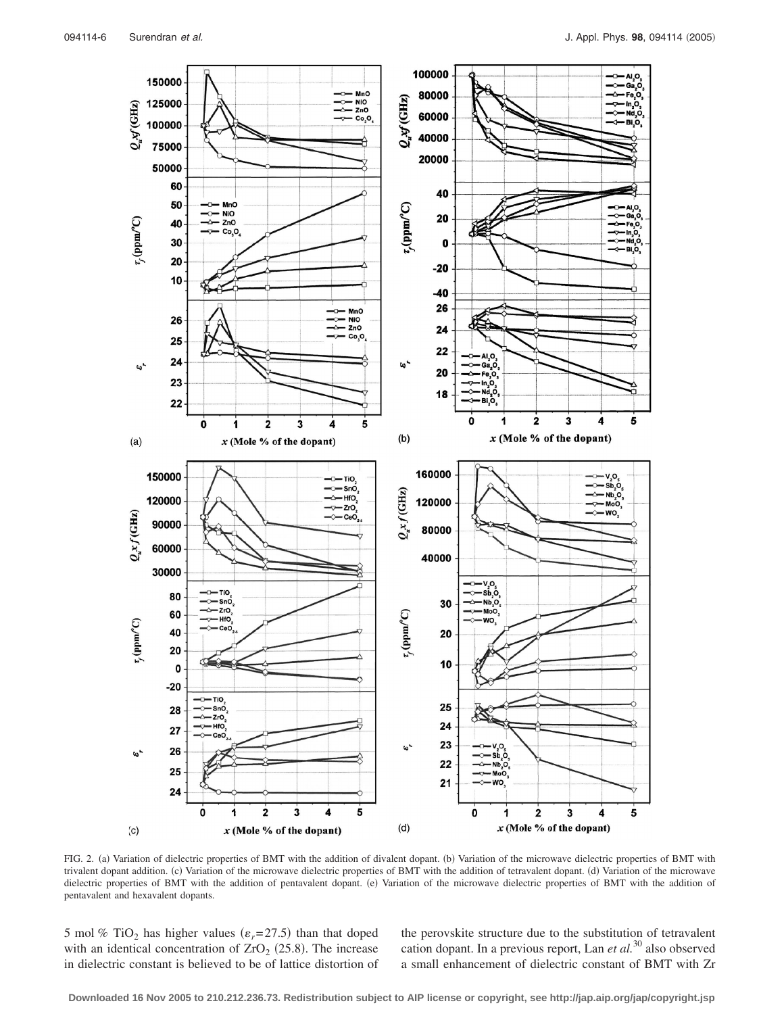

FIG. 2. (a) Variation of dielectric properties of BMT with the addition of divalent dopant. (b) Variation of the microwave dielectric properties of BMT with trivalent dopant addition. (c) Variation of the microwave dielectric properties of BMT with the addition of tetravalent dopant. (d) Variation of the microwave dielectric properties of BMT with the addition of pentavalent dopant. (e) Variation of the microwave dielectric properties of BMT with the addition of pentavalent and hexavalent dopants.

5 mol % TiO<sub>2</sub> has higher values ( $\varepsilon_r$ =27.5) than that doped with an identical concentration of  $ZrO<sub>2</sub>$  (25.8). The increase in dielectric constant is believed to be of lattice distortion of the perovskite structure due to the substitution of tetravalent cation dopant. In a previous report, Lan *et al.*<sup>30</sup> also observed a small enhancement of dielectric constant of BMT with Zr

**Downloaded 16 Nov 2005 to 210.212.236.73. Redistribution subject to AIP license or copyright, see http://jap.aip.org/jap/copyright.jsp**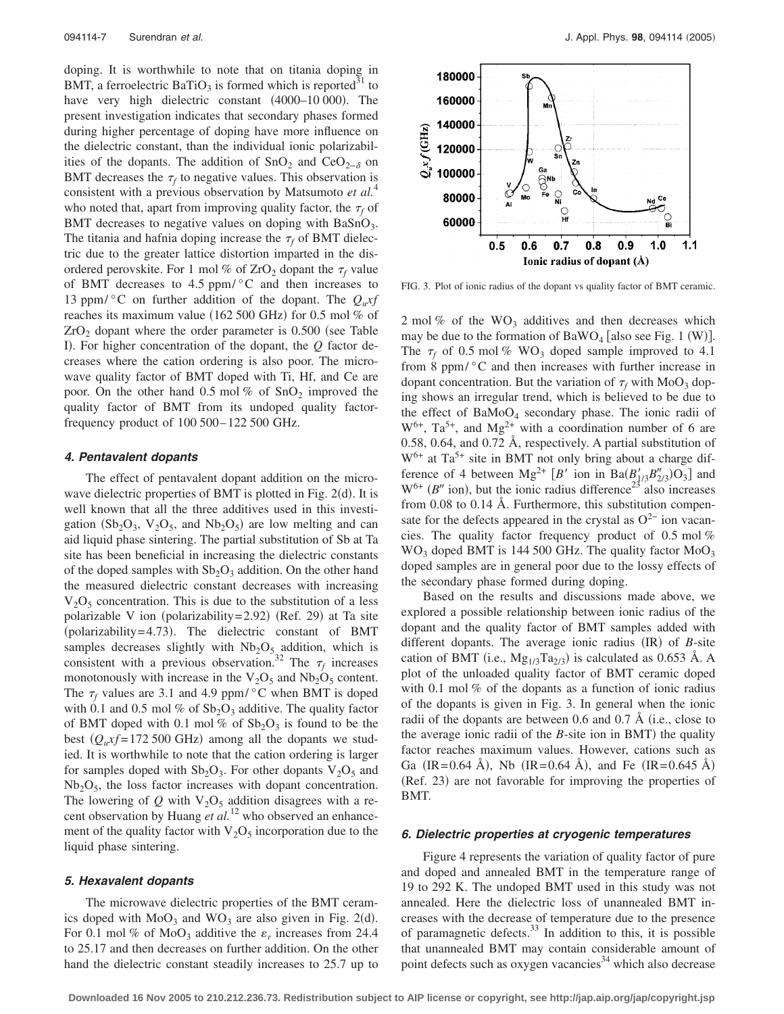doping. It is worthwhile to note that on titania doping in BMT, a ferroelectric BaTiO<sub>3</sub> is formed which is reported<sup>31</sup> to have very high dielectric constant (4000-10 000). The present investigation indicates that secondary phases formed during higher percentage of doping have more influence on the dielectric constant, than the individual ionic polarizabilities of the dopants. The addition of SnO<sub>2</sub> and CeO<sub>2− $\delta$ </sub> on BMT decreases the  $\tau_f$  to negative values. This observation is consistent with a previous observation by Matsumoto *et al.*<sup>4</sup> who noted that, apart from improving quality factor, the  $\tau_f$  of BMT decreases to negative values on doping with  $BaSnO<sub>3</sub>$ . The titania and hafnia doping increase the  $\tau_f$  of BMT dielectric due to the greater lattice distortion imparted in the disordered perovskite. For 1 mol % of  $ZrO<sub>2</sub>$  dopant the  $\tau_f$  value of BMT decreases to 4.5 ppm/ $\degree$ C and then increases to 13 ppm/ $\rm ^{\circ}C$  on further addition of the dopant. The  $Q_u$ xf reaches its maximum value (162 500 GHz) for 0.5 mol % of  $ZrO<sub>2</sub>$  dopant where the order parameter is 0.500 (see Table I). For higher concentration of the dopant, the *Q* factor decreases where the cation ordering is also poor. The microwave quality factor of BMT doped with Ti, Hf, and Ce are poor. On the other hand 0.5 mol % of  $SnO<sub>2</sub>$  improved the quality factor of BMT from its undoped quality factorfrequency product of 100 500– 122 500 GHz.

## *4. Pentavalent dopants*

The effect of pentavalent dopant addition on the microwave dielectric properties of BMT is plotted in Fig. 2(d). It is well known that all the three additives used in this investigation ( $Sb_2O_3$ ,  $V_2O_5$ , and  $Nb_2O_5$ ) are low melting and can aid liquid phase sintering. The partial substitution of Sb at Ta site has been beneficial in increasing the dielectric constants of the doped samples with  $Sb<sub>2</sub>O<sub>3</sub>$  addition. On the other hand the measured dielectric constant decreases with increasing  $V_2O_5$  concentration. This is due to the substitution of a less polarizable V ion (polarizability= 2.92) (Ref. 29) at Ta site (polarizability=4.73). The dielectric constant of BMT samples decreases slightly with  $Nb<sub>2</sub>O<sub>5</sub>$  addition, which is consistent with a previous observation.<sup>32</sup> The  $\tau_f$  increases monotonously with increase in the  $V_2O_5$  and  $Nb_2O_5$  content. The  $\tau_f$  values are 3.1 and 4.9 ppm/ $\degree$ C when BMT is doped with 0.1 and 0.5 mol % of  $Sb<sub>2</sub>O<sub>3</sub>$  additive. The quality factor of BMT doped with 0.1 mol % of  $Sb<sub>2</sub>O<sub>3</sub>$  is found to be the best  $(Q_u x f = 172500 \text{ GHz})$  among all the dopants we studied. It is worthwhile to note that the cation ordering is larger for samples doped with  $Sb_2O_3$ . For other dopants  $V_2O_5$  and  $Nb<sub>2</sub>O<sub>5</sub>$ , the loss factor increases with dopant concentration. The lowering of  $Q$  with  $V_2O_5$  addition disagrees with a recent observation by Huang *et al.*<sup>12</sup> who observed an enhancement of the quality factor with  $V_2O_5$  incorporation due to the liquid phase sintering.

#### *5. Hexavalent dopants*

The microwave dielectric properties of the BMT ceramics doped with  $Mo_{3}$  and  $WO_{3}$  are also given in Fig. 2(d). For 0.1 mol % of MoO<sub>3</sub> additive the  $\varepsilon_r$  increases from 24.4 to 25.17 and then decreases on further addition. On the other hand the dielectric constant steadily increases to 25.7 up to



FIG. 3. Plot of ionic radius of the dopant vs quality factor of BMT ceramic.

2 mol % of the  $WO_3$  additives and then decreases which may be due to the formation of  $BaWO_4$  [also see Fig. 1 (W)]. The  $\tau_f$  of 0.5 mol % WO<sub>3</sub> doped sample improved to 4.1 from 8 ppm/ $\degree$ C and then increases with further increase in dopant concentration. But the variation of  $\tau_f$  with MoO<sub>3</sub> doping shows an irregular trend, which is believed to be due to the effect of  $BaMoO<sub>4</sub>$  secondary phase. The ionic radii of  $W^{6+}$ , Ta<sup>5+</sup>, and Mg<sup>2+</sup> with a coordination number of 6 are 0.58, 0.64, and 0.72 Å, respectively. A partial substitution of  $W^{6+}$  at Ta<sup>5+</sup> site in BMT not only bring about a charge difference of 4 between  $Mg^{2+} [B'$  ion in  $Ba(B'_{3/3}B''_{2/3})O_3]$  and  $W^{6+}$  (*B''* ion), but the ionic radius difference<sup>23'</sup> also increases from 0.08 to 0.14 Å. Furthermore, this substitution compensate for the defects appeared in the crystal as  $O^{2-}$  ion vacancies. The quality factor frequency product of 0.5 mol %  $WO_3$  doped BMT is 144 500 GHz. The quality factor  $MoO_3$ doped samples are in general poor due to the lossy effects of the secondary phase formed during doping.

Based on the results and discussions made above, we explored a possible relationship between ionic radius of the dopant and the quality factor of BMT samples added with different dopants. The average ionic radius (IR) of *B*-site cation of BMT (i.e.,  $Mg_{1/3}Ta_{2/3}$ ) is calculated as 0.653 Å. A plot of the unloaded quality factor of BMT ceramic doped with 0.1 mol % of the dopants as a function of ionic radius of the dopants is given in Fig. 3. In general when the ionic radii of the dopants are between  $0.6$  and  $0.7 \text{ Å}$  (i.e., close to the average ionic radii of the  $B$ -site ion in BMT) the quality factor reaches maximum values. However, cations such as Ga (IR=0.64 Å), Nb (IR=0.64 Å), and Fe (IR=0.645 Å) (Ref. 23) are not favorable for improving the properties of BMT.

#### *6. Dielectric properties at cryogenic temperatures*

Figure 4 represents the variation of quality factor of pure and doped and annealed BMT in the temperature range of 19 to 292 K. The undoped BMT used in this study was not annealed. Here the dielectric loss of unannealed BMT increases with the decrease of temperature due to the presence of paramagnetic defects. $33$  In addition to this, it is possible that unannealed BMT may contain considerable amount of point defects such as oxygen vacancies<sup>34</sup> which also decrease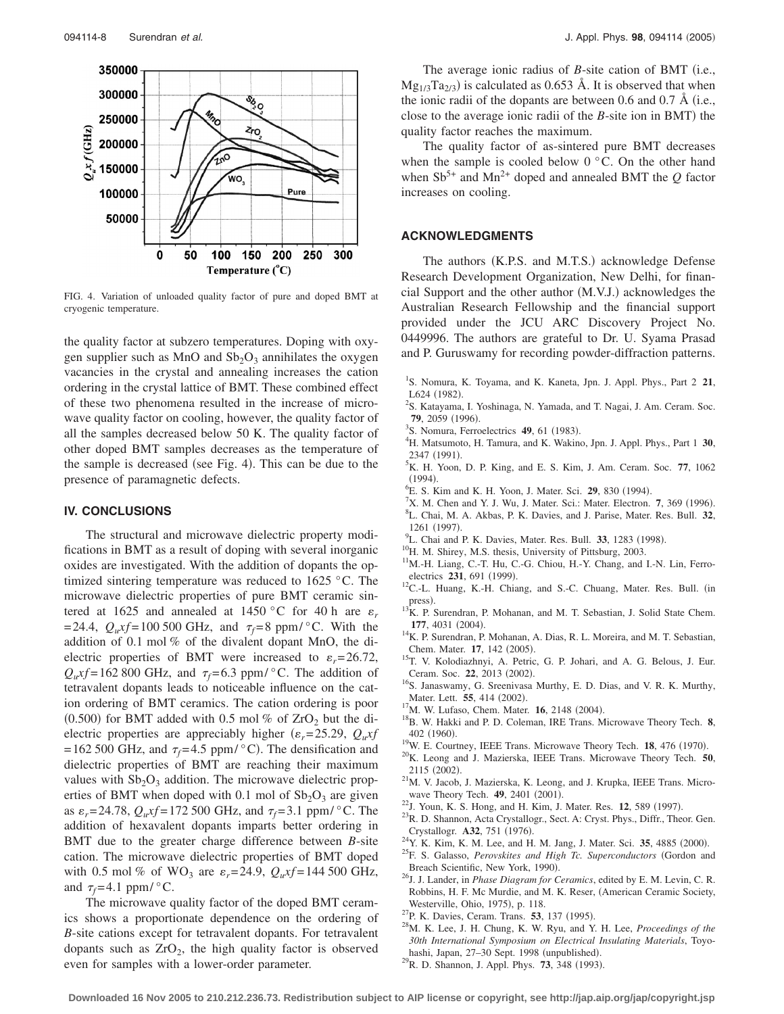

FIG. 4. Variation of unloaded quality factor of pure and doped BMT at cryogenic temperature.

the quality factor at subzero temperatures. Doping with oxygen supplier such as MnO and  $Sb<sub>2</sub>O<sub>3</sub>$  annihilates the oxygen vacancies in the crystal and annealing increases the cation ordering in the crystal lattice of BMT. These combined effect of these two phenomena resulted in the increase of microwave quality factor on cooling, however, the quality factor of all the samples decreased below 50 K. The quality factor of other doped BMT samples decreases as the temperature of the sample is decreased (see Fig. 4). This can be due to the presence of paramagnetic defects.

## **IV. CONCLUSIONS**

The structural and microwave dielectric property modifications in BMT as a result of doping with several inorganic oxides are investigated. With the addition of dopants the optimized sintering temperature was reduced to 1625 °C. The microwave dielectric properties of pure BMT ceramic sintered at 1625 and annealed at 1450 °C for 40 h are  $\varepsilon_r$ = 24.4,  $Q_u$ xf = 100 500 GHz, and  $\tau_f$  = 8 ppm/ $\degree$ C. With the addition of 0.1 mol % of the divalent dopant MnO, the dielectric properties of BMT were increased to  $\varepsilon_r = 26.72$ ,  $Q_u$ xf = 162 800 GHz, and  $\tau_f$  = 6.3 ppm/ $\degree$ C. The addition of tetravalent dopants leads to noticeable influence on the cation ordering of BMT ceramics. The cation ordering is poor (0.500) for BMT added with 0.5 mol % of  $ZrO<sub>2</sub>$  but the dielectric properties are appreciably higher ( $\varepsilon_r$ =25.29,  $Q_u$ *xf*  $= 162 500$  GHz, and  $\tau_f = 4.5$  ppm/ $\degree$ C). The densification and dielectric properties of BMT are reaching their maximum values with  $Sb_2O_3$  addition. The microwave dielectric properties of BMT when doped with 0.1 mol of  $Sb<sub>2</sub>O<sub>3</sub>$  are given as  $\varepsilon_r = 24.78$ ,  $Q_u x f = 172500$  GHz, and  $\tau_f = 3.1$  ppm/ $\degree$ C. The addition of hexavalent dopants imparts better ordering in BMT due to the greater charge difference between *B*-site cation. The microwave dielectric properties of BMT doped with 0.5 mol % of WO<sub>3</sub> are  $\varepsilon_r = 24.9$ ,  $Q_u x f = 144\,500$  GHz, and  $\tau_f = 4.1$  ppm/ $\degree$ C.

The microwave quality factor of the doped BMT ceramics shows a proportionate dependence on the ordering of *B*-site cations except for tetravalent dopants. For tetravalent dopants such as  $ZrO<sub>2</sub>$ , the high quality factor is observed even for samples with a lower-order parameter.

The average ionic radius of *B*-site cation of BMT (i.e.,  $Mg_{1/3}Ta_{2/3}$  is calculated as 0.653 Å. It is observed that when the ionic radii of the dopants are between 0.6 and 0.7 Å (i.e., close to the average ionic radii of the *B*-site ion in BMT) the quality factor reaches the maximum.

The quality factor of as-sintered pure BMT decreases when the sample is cooled below  $0^{\circ}$ C. On the other hand when  $\text{Sb}^{5+}$  and Mn<sup>2+</sup> doped and annealed BMT the *Q* factor increases on cooling.

## **ACKNOWLEDGMENTS**

The authors (K.P.S. and M.T.S.) acknowledge Defense Research Development Organization, New Delhi, for financial Support and the other author (M.V.J.) acknowledges the Australian Research Fellowship and the financial support provided under the JCU ARC Discovery Project No. 0449996. The authors are grateful to Dr. U. Syama Prasad and P. Guruswamy for recording powder-diffraction patterns.

- <sup>2</sup>S. Katayama, I. Yoshinaga, N. Yamada, and T. Nagai, J. Am. Ceram. Soc. **79**, 2059 (1996).
- <sup>3</sup>S. Nomura, Ferroelectrics **49**, 61 (1983).
- <sup>4</sup>H. Matsumoto, H. Tamura, and K. Wakino, Jpn. J. Appl. Phys., Part 1 30,  $^{2347}$  (1991).
- ${}^{5}$ K. H. Yoon, D. P. King, and E. S. Kim, J. Am. Ceram. Soc. 77, 1062  $(1994)$ .
- (1994).<br><sup>6</sup>E. S. Kim and K. H. Yoon, J. Mater. Sci. **29**, 830 (1994).<br><sup>7</sup>Y. M. Chan and Y. J. Wu. J. Mater. Sci.: Mater. Electron.
- $N^7$ X. M. Chen and Y. J. Wu, J. Mater. Sci.: Mater. Electron. **7**, 369 (1996). L. Chai, M. A. Akbas, P. K. Davies, and J. Parise, Mater. Res. Bull. **32**,
- $1261$  (1997).
- <sup>9</sup>L. Chai and P. K. Davies, Mater. Res. Bull. 33, 1283 (1998).
- <sup>10</sup>H. M. Shirey, M.S. thesis, University of Pittsburg, 2003.
- <sup>11</sup>M.-H. Liang, C.-T. Hu, C.-G. Chiou, H.-Y. Chang, and I.-N. Lin, Ferroelectrics **231**, 691 (1999).
- <sup>12</sup>C.-L. Huang, K.-H. Chiang, and S.-C. Chuang, Mater. Res. Bull. (in press).
- $^{13}$ K. P. Surendran, P. Mohanan, and M. T. Sebastian, J. Solid State Chem. **177**, 4031 (2004).
- <sup>14</sup>K. P. Surendran, P. Mohanan, A. Dias, R. L. Moreira, and M. T. Sebastian, Chem. Mater. **17**, 142 (2005).
- <sup>15</sup>T. V. Kolodiazhnyi, A. Petric, G. P. Johari, and A. G. Belous, J. Eur. Ceram. Soc. 22, 2013 (2002).
- <sup>16</sup>S. Janaswamy, G. Sreenivasa Murthy, E. D. Dias, and V. R. K. Murthy, Mater. Lett. **55**, 414 (2002).
- <sup>17</sup>M. W. Lufaso, Chem. Mater. **16**, 2148 (2004).
- <sup>18</sup>B. W. Hakki and P. D. Coleman, IRE Trans. Microwave Theory Tech. **8**, 402 (1960).
- <sup>19</sup>W. E. Courtney, IEEE Trans. Microwave Theory Tech. **18**, 476 (1970).
- . 20K. Leong and J. Mazierska, IEEE Trans. Microwave Theory Tech. **<sup>50</sup>**, 2115 (2002).
- <sup>21</sup>M. V. Jacob, J. Mazierska, K. Leong, and J. Krupka, IEEE Trans. Microwave Theory Tech. **49**, 2401 (2001).
- <sup>22</sup>J. Youn, K. S. Hong, and H. Kim, J. Mater. Res. **12**, 589 (1997).
- <sup>23</sup>R. D. Shannon, Acta Crystallogr., Sect. A: Cryst. Phys., Diffr., Theor. Gen. Crystallogr. A32, 751 (1976).
- <sup>24</sup>Y. K. Kim, K. M. Lee, and H. M. Jang, J. Mater. Sci. 35, 4885 (2000).
- . 25F. S. Galasso, *Perovskites and High Tc. Superconductors* Gordon and Breach Scientific, New York, 1990).
- . 26J. J. Lander, in *Phase Diagram for Ceramics*, edited by E. M. Levin, C. R. Robbins, H. F. Mc Murdie, and M. K. Reser, (American Ceramic Society, Westerville, Ohio, 1975), p. 118.
- <sup>27</sup>P. K. Davies, Ceram. Trans. **53**, 137 (1995).
- . 28M. K. Lee, J. H. Chung, K. W. Ryu, and Y. H. Lee, *Proceedings of the 30th International Symposium on Electrical Insulating Materials*, Toyohashi, Japan, 27-30 Sept. 1998 (unpublished). hashi, Japan, 27–30 Sept. 1998 (unpublished).<br><sup>29</sup>R. D. Shannon, J. Appl. Phys. **73**, 348 (1993).
- 

<sup>1</sup> S. Nomura, K. Toyama, and K. Kaneta, Jpn. J. Appl. Phys., Part 2 **21**, L624 (1982).